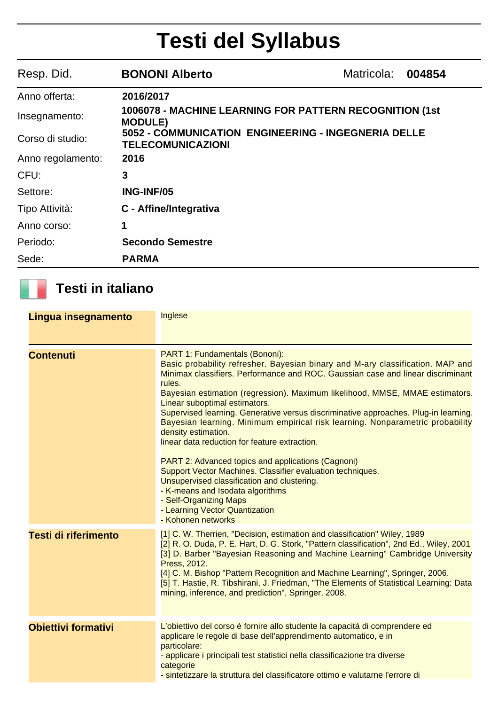# **Testi del Syllabus**

| Resp. Did.        | <b>BONONI Alberto</b>                                                           | Matricola: | 004854 |
|-------------------|---------------------------------------------------------------------------------|------------|--------|
| Anno offerta:     | 2016/2017                                                                       |            |        |
| Insegnamento:     | 1006078 - MACHINE LEARNING FOR PATTERN RECOGNITION (1st<br><b>MODULE)</b>       |            |        |
| Corso di studio:  | 5052 - COMMUNICATION ENGINEERING - INGEGNERIA DELLE<br><b>TELECOMUNICAZIONI</b> |            |        |
| Anno regolamento: | 2016                                                                            |            |        |
| CFU:              | 3                                                                               |            |        |
| Settore:          | <b>ING-INF/05</b>                                                               |            |        |
| Tipo Attività:    | C - Affine/Integrativa                                                          |            |        |
| Anno corso:       | 1                                                                               |            |        |
| Periodo:          | <b>Secondo Semestre</b>                                                         |            |        |
| Sede:             | <b>PARMA</b>                                                                    |            |        |

# **Testi in italiano**

| Lingua insegnamento         | Inglese                                                                                                                                                                                                                                                                                                                                                                                                                                                                                                                                                                                                                                                                                                                                                                                                                                                                        |
|-----------------------------|--------------------------------------------------------------------------------------------------------------------------------------------------------------------------------------------------------------------------------------------------------------------------------------------------------------------------------------------------------------------------------------------------------------------------------------------------------------------------------------------------------------------------------------------------------------------------------------------------------------------------------------------------------------------------------------------------------------------------------------------------------------------------------------------------------------------------------------------------------------------------------|
| <b>Contenuti</b>            | PART 1: Fundamentals (Bononi):<br>Basic probability refresher. Bayesian binary and M-ary classification. MAP and<br>Minimax classifiers. Performance and ROC. Gaussian case and linear discriminant<br>rules.<br>Bayesian estimation (regression). Maximum likelihood, MMSE, MMAE estimators.<br>Linear suboptimal estimators.<br>Supervised learning. Generative versus discriminative approaches. Plug-in learning.<br>Bayesian learning. Minimum empirical risk learning. Nonparametric probability<br>density estimation.<br>linear data reduction for feature extraction.<br><b>PART 2: Advanced topics and applications (Cagnoni)</b><br>Support Vector Machines. Classifier evaluation techniques.<br>Unsupervised classification and clustering.<br>- K-means and Isodata algorithms<br>- Self-Organizing Maps<br>- Learning Vector Quantization<br>- Kohonen networks |
| <b>Testi di riferimento</b> | [1] C. W. Therrien, "Decision, estimation and classification" Wiley, 1989<br>[2] R. O. Duda, P. E. Hart, D. G. Stork, "Pattern classification", 2nd Ed., Wiley, 2001<br>[3] D. Barber "Bayesian Reasoning and Machine Learning" Cambridge University<br>Press, 2012.<br>[4] C. M. Bishop "Pattern Recognition and Machine Learning", Springer, 2006.<br>[5] T. Hastie, R. Tibshirani, J. Friedman, "The Elements of Statistical Learning: Data<br>mining, inference, and prediction", Springer, 2008.                                                                                                                                                                                                                                                                                                                                                                          |
| <b>Obiettivi formativi</b>  | L'obiettivo del corso è fornire allo studente la capacità di comprendere ed<br>applicare le regole di base dell'apprendimento automatico, e in<br>particolare:<br>- applicare i principali test statistici nella classificazione tra diverse<br>categorie<br>- sintetizzare la struttura del classificatore ottimo e valutarne l'errore di                                                                                                                                                                                                                                                                                                                                                                                                                                                                                                                                     |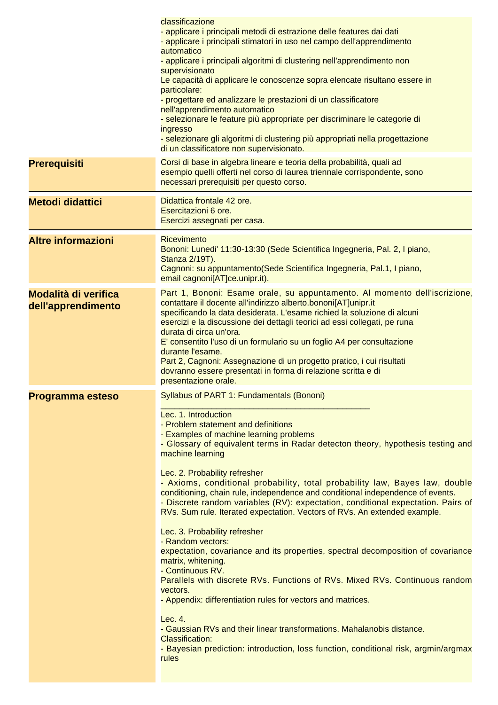|                                                   | classificazione<br>- applicare i principali metodi di estrazione delle features dai dati<br>- applicare i principali stimatori in uso nel campo dell'apprendimento<br>automatico<br>- applicare i principali algoritmi di clustering nell'apprendimento non<br>supervisionato<br>Le capacità di applicare le conoscenze sopra elencate risultano essere in<br>particolare:<br>- progettare ed analizzare le prestazioni di un classificatore<br>nell'apprendimento automatico<br>- selezionare le feature più appropriate per discriminare le categorie di<br>ingresso<br>- selezionare gli algoritmi di clustering più appropriati nella progettazione<br>di un classificatore non supervisionato.                                                                                                                                                                                                                                                                                                                                                                                                                                                                                        |
|---------------------------------------------------|--------------------------------------------------------------------------------------------------------------------------------------------------------------------------------------------------------------------------------------------------------------------------------------------------------------------------------------------------------------------------------------------------------------------------------------------------------------------------------------------------------------------------------------------------------------------------------------------------------------------------------------------------------------------------------------------------------------------------------------------------------------------------------------------------------------------------------------------------------------------------------------------------------------------------------------------------------------------------------------------------------------------------------------------------------------------------------------------------------------------------------------------------------------------------------------------|
| <b>Prerequisiti</b>                               | Corsi di base in algebra lineare e teoria della probabilità, quali ad<br>esempio quelli offerti nel corso di laurea triennale corrispondente, sono<br>necessari prerequisiti per questo corso.                                                                                                                                                                                                                                                                                                                                                                                                                                                                                                                                                                                                                                                                                                                                                                                                                                                                                                                                                                                             |
| <b>Metodi didattici</b>                           | Didattica frontale 42 ore.<br>Esercitazioni 6 ore.<br>Esercizi assegnati per casa.                                                                                                                                                                                                                                                                                                                                                                                                                                                                                                                                                                                                                                                                                                                                                                                                                                                                                                                                                                                                                                                                                                         |
| <b>Altre informazioni</b>                         | Ricevimento<br>Bononi: Lunedi' 11:30-13:30 (Sede Scientifica Ingegneria, Pal. 2, I piano,<br>Stanza 2/19T).<br>Cagnoni: su appuntamento (Sede Scientifica Ingegneria, Pal.1, I piano,<br>email cagnoni[AT]ce.unipr.it).                                                                                                                                                                                                                                                                                                                                                                                                                                                                                                                                                                                                                                                                                                                                                                                                                                                                                                                                                                    |
| <b>Modalità di verifica</b><br>dell'apprendimento | Part 1, Bononi: Esame orale, su appuntamento. Al momento dell'iscrizione,<br>contattare il docente all'indirizzo alberto.bononi[AT]unipr.it<br>specificando la data desiderata. L'esame richied la soluzione di alcuni<br>esercizi e la discussione dei dettagli teorici ad essi collegati, pe runa<br>durata di circa un'ora.<br>E' consentito l'uso di un formulario su un foglio A4 per consultazione<br>durante l'esame.<br>Part 2, Cagnoni: Assegnazione di un progetto pratico, i cui risultati<br>dovranno essere presentati in forma di relazione scritta e di<br>presentazione orale.                                                                                                                                                                                                                                                                                                                                                                                                                                                                                                                                                                                             |
| Programma esteso                                  | Syllabus of PART 1: Fundamentals (Bononi)<br>Lec. 1. Introduction<br>- Problem statement and definitions<br>- Examples of machine learning problems<br>- Glossary of equivalent terms in Radar detecton theory, hypothesis testing and<br>machine learning<br>Lec. 2. Probability refresher<br>- Axioms, conditional probability, total probability law, Bayes law, double<br>conditioning, chain rule, independence and conditional independence of events.<br>- Discrete random variables (RV): expectation, conditional expectation. Pairs of<br>RVs. Sum rule. Iterated expectation. Vectors of RVs. An extended example.<br>Lec. 3. Probability refresher<br>- Random vectors:<br>expectation, covariance and its properties, spectral decomposition of covariance<br>matrix, whitening.<br>- Continuous RV.<br>Parallels with discrete RVs. Functions of RVs. Mixed RVs. Continuous random<br>vectors.<br>- Appendix: differentiation rules for vectors and matrices.<br>Lec. 4.<br>- Gaussian RVs and their linear transformations. Mahalanobis distance.<br><b>Classification:</b><br>- Bayesian prediction: introduction, loss function, conditional risk, argmin/argmax<br>rules |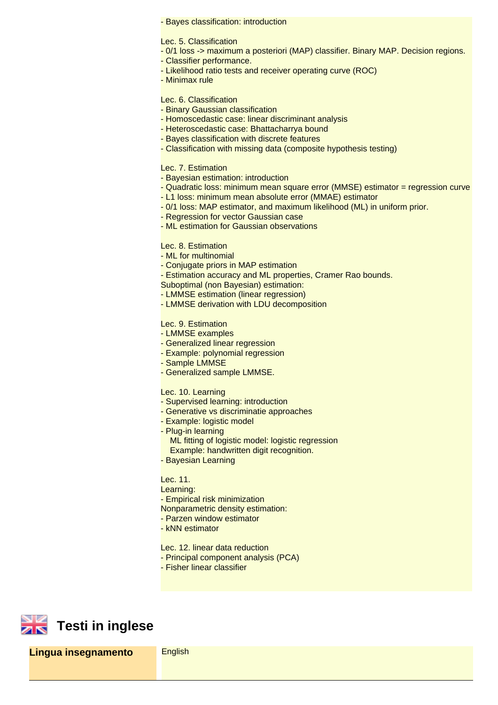#### - Bayes classification: introduction

Lec. 5. Classification

- 0/1 loss -> maximum a posteriori (MAP) classifier. Binary MAP. Decision regions.
- Classifier performance.
- Likelihood ratio tests and receiver operating curve (ROC)
- Minimax rule

#### Lec. 6. Classification

- Binary Gaussian classification
- Homoscedastic case: linear discriminant analysis
- Heteroscedastic case: Bhattacharrya bound
- Bayes classification with discrete features
- Classification with missing data (composite hypothesis testing)

#### Lec. 7. Estimation

- Bayesian estimation: introduction
- Quadratic loss: minimum mean square error (MMSE) estimator = regression curve
- L1 loss: minimum mean absolute error (MMAE) estimator
- 0/1 loss: MAP estimator, and maximum likelihood (ML) in uniform prior.
- Regression for vector Gaussian case
- ML estimation for Gaussian observations

# Lec. 8. Estimation

- ML for multinomial
- Conjugate priors in MAP estimation
- Estimation accuracy and ML properties, Cramer Rao bounds.
	- Suboptimal (non Bayesian) estimation:
	- LMMSE estimation (linear regression)
	- LMMSE derivation with LDU decomposition

Lec. 9. Estimation

- LMMSE examples
- Generalized linear regression
- Example: polynomial regression
- Sample LMMSE
- Generalized sample LMMSE.

#### Lec. 10. Learning

- Supervised learning: introduction
- Generative vs discriminatie approaches
- Example: logistic model
- Plug-in learning
	- ML fitting of logistic model: logistic regression
	- Example: handwritten digit recognition.
- Bayesian Learning

Lec. 11.

## Learning:

- Empirical risk minimization
- Nonparametric density estimation:
- Parzen window estimator
- kNN estimator
- Lec. 12. linear data reduction
- Principal component analysis (PCA)
- Fisher linear classifier



**Lingua insegnamento** English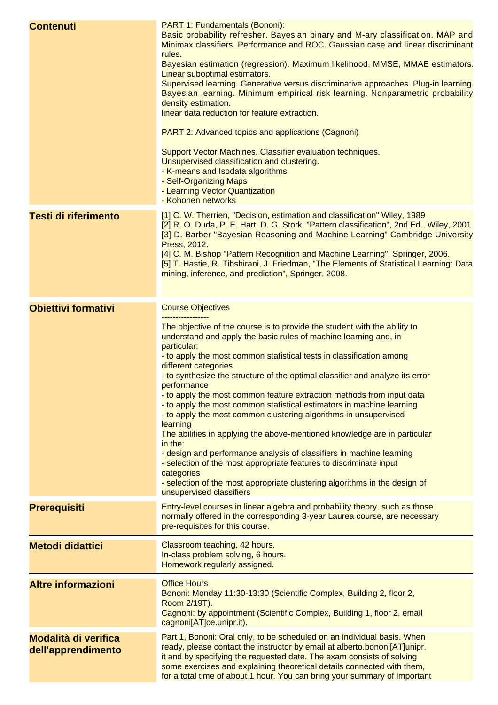| <b>Contenuti</b>                                  | PART 1: Fundamentals (Bononi):<br>Basic probability refresher. Bayesian binary and M-ary classification. MAP and<br>Minimax classifiers. Performance and ROC. Gaussian case and linear discriminant<br>rules.<br>Bayesian estimation (regression). Maximum likelihood, MMSE, MMAE estimators.<br>Linear suboptimal estimators.<br>Supervised learning. Generative versus discriminative approaches. Plug-in learning.<br>Bayesian learning. Minimum empirical risk learning. Nonparametric probability<br>density estimation.<br>linear data reduction for feature extraction.<br><b>PART 2: Advanced topics and applications (Cagnoni)</b><br>Support Vector Machines. Classifier evaluation techniques.<br>Unsupervised classification and clustering.<br>- K-means and Isodata algorithms<br>- Self-Organizing Maps<br>- Learning Vector Quantization<br>- Kohonen networks                                                                                                           |
|---------------------------------------------------|------------------------------------------------------------------------------------------------------------------------------------------------------------------------------------------------------------------------------------------------------------------------------------------------------------------------------------------------------------------------------------------------------------------------------------------------------------------------------------------------------------------------------------------------------------------------------------------------------------------------------------------------------------------------------------------------------------------------------------------------------------------------------------------------------------------------------------------------------------------------------------------------------------------------------------------------------------------------------------------|
| <b>Testi di riferimento</b>                       | [1] C. W. Therrien, "Decision, estimation and classification" Wiley, 1989<br>[2] R. O. Duda, P. E. Hart, D. G. Stork, "Pattern classification", 2nd Ed., Wiley, 2001<br>[3] D. Barber "Bayesian Reasoning and Machine Learning" Cambridge University<br>Press, 2012.<br>[4] C. M. Bishop "Pattern Recognition and Machine Learning", Springer, 2006.<br>[5] T. Hastie, R. Tibshirani, J. Friedman, "The Elements of Statistical Learning: Data<br>mining, inference, and prediction", Springer, 2008.                                                                                                                                                                                                                                                                                                                                                                                                                                                                                    |
| <b>Obiettivi formativi</b>                        | <b>Course Objectives</b><br>The objective of the course is to provide the student with the ability to<br>understand and apply the basic rules of machine learning and, in<br>particular:<br>- to apply the most common statistical tests in classification among<br>different categories<br>- to synthesize the structure of the optimal classifier and analyze its error<br>performance<br>- to apply the most common feature extraction methods from input data<br>- to apply the most common statistical estimators in machine learning<br>- to apply the most common clustering algorithms in unsupervised<br>learning<br>The abilities in applying the above-mentioned knowledge are in particular<br>in the:<br>- design and performance analysis of classifiers in machine learning<br>- selection of the most appropriate features to discriminate input<br>categories<br>- selection of the most appropriate clustering algorithms in the design of<br>unsupervised classifiers |
| <b>Prerequisiti</b>                               | Entry-level courses in linear algebra and probability theory, such as those<br>normally offered in the corresponding 3-year Laurea course, are necessary<br>pre-requisites for this course.                                                                                                                                                                                                                                                                                                                                                                                                                                                                                                                                                                                                                                                                                                                                                                                              |
| <b>Metodi didattici</b>                           | Classroom teaching, 42 hours.<br>In-class problem solving, 6 hours.<br>Homework regularly assigned.                                                                                                                                                                                                                                                                                                                                                                                                                                                                                                                                                                                                                                                                                                                                                                                                                                                                                      |
| <b>Altre informazioni</b>                         | <b>Office Hours</b><br>Bononi: Monday 11:30-13:30 (Scientific Complex, Building 2, floor 2,<br>Room 2/19T).<br>Cagnoni: by appointment (Scientific Complex, Building 1, floor 2, email<br>cagnoni[AT]ce.unipr.it).                                                                                                                                                                                                                                                                                                                                                                                                                                                                                                                                                                                                                                                                                                                                                                       |
| <b>Modalità di verifica</b><br>dell'apprendimento | Part 1, Bononi: Oral only, to be scheduled on an individual basis. When<br>ready, please contact the instructor by email at alberto.bononi[AT]unipr.<br>it and by specifying the requested date. The exam consists of solving<br>some exercises and explaining theoretical details connected with them,<br>for a total time of about 1 hour. You can bring your summary of important                                                                                                                                                                                                                                                                                                                                                                                                                                                                                                                                                                                                     |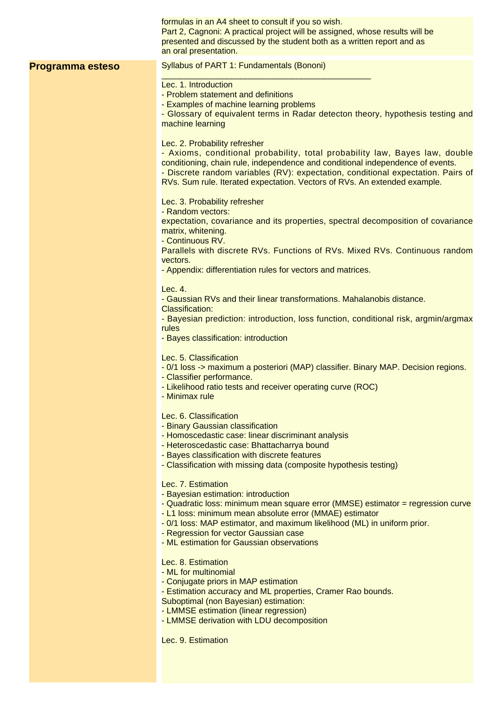|                  | formulas in an A4 sheet to consult if you so wish.<br>Part 2, Cagnoni: A practical project will be assigned, whose results will be<br>presented and discussed by the student both as a written report and as<br>an oral presentation.                                                                                                                                     |
|------------------|---------------------------------------------------------------------------------------------------------------------------------------------------------------------------------------------------------------------------------------------------------------------------------------------------------------------------------------------------------------------------|
| Programma esteso | Syllabus of PART 1: Fundamentals (Bononi)                                                                                                                                                                                                                                                                                                                                 |
|                  | Lec. 1. Introduction<br>- Problem statement and definitions<br>- Examples of machine learning problems<br>- Glossary of equivalent terms in Radar detecton theory, hypothesis testing and<br>machine learning                                                                                                                                                             |
|                  | Lec. 2. Probability refresher<br>- Axioms, conditional probability, total probability law, Bayes law, double<br>conditioning, chain rule, independence and conditional independence of events.<br>- Discrete random variables (RV): expectation, conditional expectation. Pairs of<br>RVs. Sum rule. Iterated expectation. Vectors of RVs. An extended example.           |
|                  | Lec. 3. Probability refresher<br>- Random vectors:<br>expectation, covariance and its properties, spectral decomposition of covariance<br>matrix, whitening.<br>- Continuous RV.                                                                                                                                                                                          |
|                  | Parallels with discrete RVs. Functions of RVs. Mixed RVs. Continuous random<br>vectors.<br>- Appendix: differentiation rules for vectors and matrices.                                                                                                                                                                                                                    |
|                  | Lec. 4.<br>- Gaussian RVs and their linear transformations. Mahalanobis distance.<br><b>Classification:</b><br>- Bayesian prediction: introduction, loss function, conditional risk, argmin/argmax<br>rules                                                                                                                                                               |
|                  | - Bayes classification: introduction                                                                                                                                                                                                                                                                                                                                      |
|                  | Lec. 5. Classification<br>- 0/1 loss -> maximum a posteriori (MAP) classifier. Binary MAP. Decision regions.<br>- Classifier performance.<br>- Likelihood ratio tests and receiver operating curve (ROC)<br>- Minimax rule                                                                                                                                                |
|                  | Lec. 6. Classification<br>- Binary Gaussian classification<br>- Homoscedastic case: linear discriminant analysis<br>- Heteroscedastic case: Bhattacharrya bound<br>- Bayes classification with discrete features<br>- Classification with missing data (composite hypothesis testing)                                                                                     |
|                  | Lec. 7. Estimation<br>- Bayesian estimation: introduction<br>- Quadratic loss: minimum mean square error (MMSE) estimator = regression curve<br>- L1 loss: minimum mean absolute error (MMAE) estimator<br>- 0/1 loss: MAP estimator, and maximum likelihood (ML) in uniform prior.<br>- Regression for vector Gaussian case<br>- ML estimation for Gaussian observations |
|                  | Lec. 8. Estimation<br>- ML for multinomial<br>- Conjugate priors in MAP estimation<br>- Estimation accuracy and ML properties, Cramer Rao bounds.<br>Suboptimal (non Bayesian) estimation:<br>- LMMSE estimation (linear regression)<br>- LMMSE derivation with LDU decomposition                                                                                         |

Lec. 9. Estimation